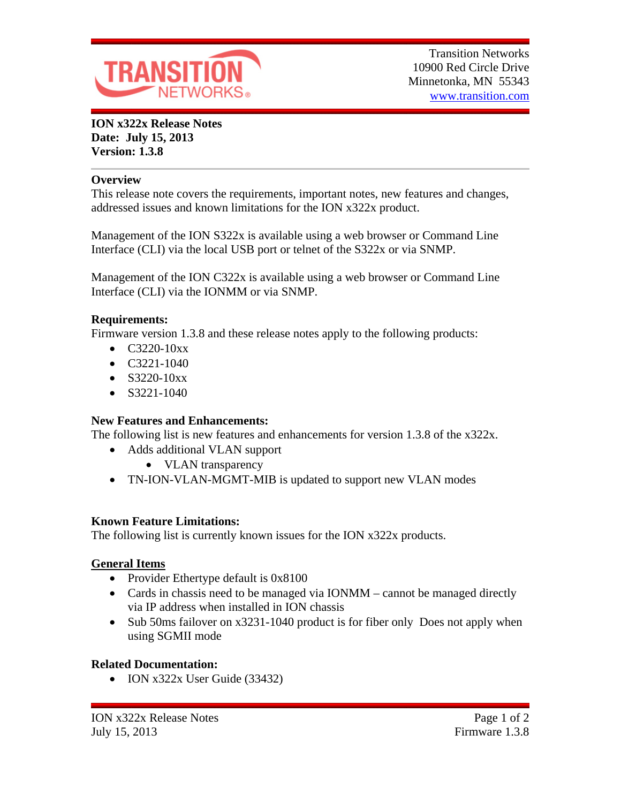

**ION x322x Release Notes Date: July 15, 2013 Version: 1.3.8**

#### **Overview**

This release note covers the requirements, important notes, new features and changes, addressed issues and known limitations for the ION x322x product.

Management of the ION S322x is available using a web browser or Command Line Interface (CLI) via the local USB port or telnet of the S322x or via SNMP.

Management of the ION C322x is available using a web browser or Command Line Interface (CLI) via the IONMM or via SNMP.

### **Requirements:**

Firmware version 1.3.8 and these release notes apply to the following products:

- $\bullet$  C3220-10xx
- $\bullet$  C3221-1040
- $\bullet$  S3220-10xx
- $\bullet$  S3221-1040

### **New Features and Enhancements:**

The following list is new features and enhancements for version 1.3.8 of the x322x.

- Adds additional VLAN support
	- VLAN transparency
- TN-ION-VLAN-MGMT-MIB is updated to support new VLAN modes

### **Known Feature Limitations:**

The following list is currently known issues for the ION x322x products.

# **General Items**

- Provider Ethertype default is 0x8100
- Cards in chassis need to be managed via IONMM cannot be managed directly via IP address when installed in ION chassis
- Sub 50ms failover on x3231-1040 product is for fiber only Does not apply when using SGMII mode

# **Related Documentation:**

• ION x322x User Guide (33432)